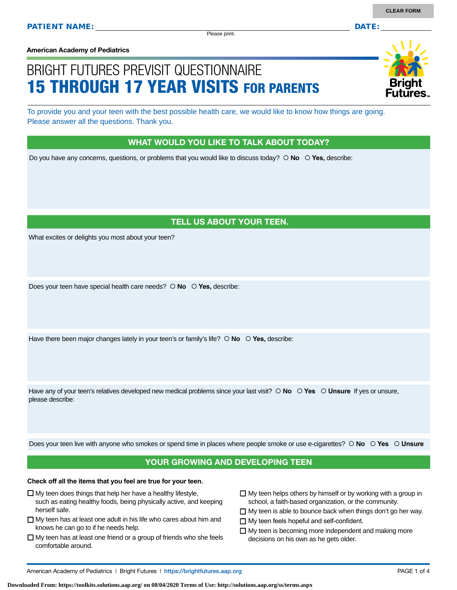Please print.

**American Academy of Pediatrics**

# BRIGHT FUTURES PREVISIT QUESTIONNAIRE 15 THROUGH 17 YEAR VISITS FOR PARENTS

To provide you and your teen with the best possible health care, we would like to know how things are going. Please answer all the questions. Thank you.

### WHAT WOULD YOU LIKE TO TALK ABOUT TODAY?

Do you have any concerns, questions, or problems that you would like to discuss today?  **No Yes,** describe:

## TELL US ABOUT YOUR TEEN.

What excites or delights you most about your teen?

Does your teen have special health care needs?  **No Yes,** describe:

Have there been major changes lately in your teen's or family's life?  $\circ$  **No**  $\circ$  **Yes**, describe:

Have any of your teen's relatives developed new medical problems since your last visit?  $\circ$  **No**  $\circ$  **Yes**  $\circ$  **Unsure** If yes or unsure, please describe:

Does your teen live with anyone who smokes or spend time in places where people smoke or use e-cigarettes?  **No Yes Unsure**

### YOUR GROWING AND DEVELOPING TEEN

#### **Check off all the items that you feel are true for your teen.**

- $\Box$  My teen does things that help her have a healthy lifestyle,
- such as eating healthy foods, being physically active, and keeping herself safe.
- $\Box$  My teen has at least one adult in his life who cares about him and knows he can go to if he needs help.
- $\Box$  My teen has at least one friend or a group of friends who she feels comfortable around.
- $\Box$  My teen helps others by himself or by working with a group in school, a faith-based organization, or the community.
- $\Box$  My teen is able to bounce back when things don't go her way.
- □ My teen feels hopeful and self-confident.
- $\Box$  My teen is becoming more independent and making more decisions on his own as he gets older.

**Downloaded From: https://toolkits.solutions.aap.org/ on 08/04/2020 Terms of Use: http://solutions.aap.org/ss/terms.aspx**

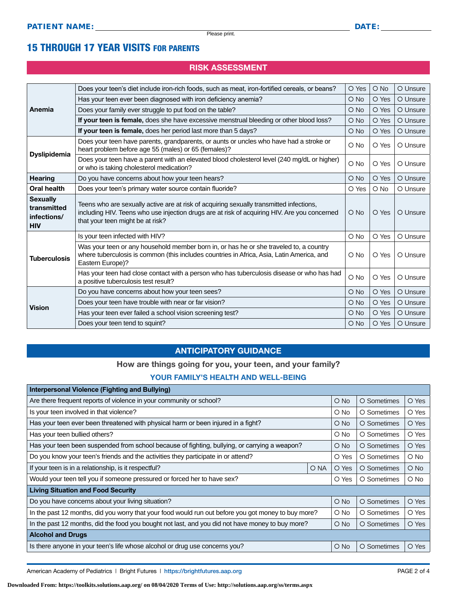# 15 THROUGH 17 YEAR VISITS FOR PARENTS

## RISK ASSESSMENT

| Anemia                                                      | Does your teen's diet include iron-rich foods, such as meat, iron-fortified cereals, or beans?                                                                                                                              | O Yes         | O No   | O Unsure |
|-------------------------------------------------------------|-----------------------------------------------------------------------------------------------------------------------------------------------------------------------------------------------------------------------------|---------------|--------|----------|
|                                                             | Has your teen ever been diagnosed with iron deficiency anemia?                                                                                                                                                              | O No          | O Yes  | O Unsure |
|                                                             | Does your family ever struggle to put food on the table?                                                                                                                                                                    | O No          | O Yes  | O Unsure |
|                                                             | If your teen is female, does she have excessive menstrual bleeding or other blood loss?                                                                                                                                     | O No          | O Yes  | O Unsure |
|                                                             | If your teen is female, does her period last more than 5 days?                                                                                                                                                              | O No          | O Yes  | O Unsure |
|                                                             | Does your teen have parents, grandparents, or aunts or uncles who have had a stroke or<br>heart problem before age 55 (males) or 65 (females)?                                                                              | $\circ$ No    | O Yes  | O Unsure |
| <b>Dyslipidemia</b>                                         | Does your teen have a parent with an elevated blood cholesterol level (240 mg/dL or higher)<br>or who is taking cholesterol medication?                                                                                     | O No          | O Yes  | O Unsure |
| <b>Hearing</b>                                              | Do you have concerns about how your teen hears?                                                                                                                                                                             | O No          | O Yes  | O Unsure |
| Oral health                                                 | Does your teen's primary water source contain fluoride?                                                                                                                                                                     | O Yes         | $O$ No | O Unsure |
| <b>Sexually</b><br>transmitted<br>infections/<br><b>HIV</b> | Teens who are sexually active are at risk of acquiring sexually transmitted infections,<br>including HIV. Teens who use injection drugs are at risk of acquiring HIV. Are you concerned<br>that your teen might be at risk? | $O$ No        | O Yes  | O Unsure |
|                                                             | Is your teen infected with HIV?                                                                                                                                                                                             | O No          | O Yes  | O Unsure |
| <b>Tuberculosis</b>                                         | Was your teen or any household member born in, or has he or she traveled to, a country<br>where tuberculosis is common (this includes countries in Africa, Asia, Latin America, and<br>Eastern Europe)?                     | O No          | O Yes  | O Unsure |
|                                                             | Has your teen had close contact with a person who has tuberculosis disease or who has had<br>a positive tuberculosis test result?                                                                                           | O No          | O Yes  | O Unsure |
|                                                             | Do you have concerns about how your teen sees?                                                                                                                                                                              | O No          | O Yes  | O Unsure |
| <b>Vision</b>                                               | Does your teen have trouble with near or far vision?                                                                                                                                                                        | $\bigcirc$ No | O Yes  | O Unsure |
|                                                             | Has your teen ever failed a school vision screening test?                                                                                                                                                                   | $\bigcirc$ No | O Yes  | O Unsure |
|                                                             | Does your teen tend to squint?                                                                                                                                                                                              | $\bigcirc$ No | O Yes  | O Unsure |

### ANTICIPATORY GUIDANCE

#### How are things going for you, your teen, and your family?

#### YOUR FAMILY'S HEALTH AND WELL-BEING

| <b>Interpersonal Violence (Fighting and Bullying)</b>                                               |      |               |             |               |
|-----------------------------------------------------------------------------------------------------|------|---------------|-------------|---------------|
| Are there frequent reports of violence in your community or school?                                 |      | $O$ No        | O Sometimes | O Yes         |
| Is your teen involved in that violence?                                                             |      | $\bigcirc$ No | O Sometimes | O Yes         |
| Has your teen ever been threatened with physical harm or been injured in a fight?                   |      | $\circ$ No    | O Sometimes | O Yes         |
| Has your teen bullied others?                                                                       |      | O No          | O Sometimes | O Yes         |
| Has your teen been suspended from school because of fighting, bullying, or carrying a weapon?       |      | $O$ No        | O Sometimes | O Yes         |
| Do you know your teen's friends and the activities they participate in or attend?                   |      | O Yes         | O Sometimes | $\circ$ No    |
| If your teen is in a relationship, is it respectful?                                                | O NA | O Yes         | O Sometimes | $\bigcirc$ No |
| Would your teen tell you if someone pressured or forced her to have sex?                            |      | O Yes         | O Sometimes | $\circ$ No    |
| <b>Living Situation and Food Security</b>                                                           |      |               |             |               |
| Do you have concerns about your living situation?                                                   |      | O No          | O Sometimes | O Yes         |
| In the past 12 months, did you worry that your food would run out before you got money to buy more? |      | O No          | O Sometimes | O Yes         |
| In the past 12 months, did the food you bought not last, and you did not have money to buy more?    |      | $O$ No        | O Sometimes | O Yes         |
| <b>Alcohol and Drugs</b>                                                                            |      |               |             |               |
| Is there anyone in your teen's life whose alcohol or drug use concerns you?                         |      | $O$ No        | O Sometimes | O Yes         |

American Academy of Pediatrics | Bright Futures | https:/[/brightfutures.aap.org](https://brightfutures.aap.org/Pages/default.aspx) PAGE 2 of 4

**Downloaded From: https://toolkits.solutions.aap.org/ on 08/04/2020 Terms of Use: http://solutions.aap.org/ss/terms.aspx**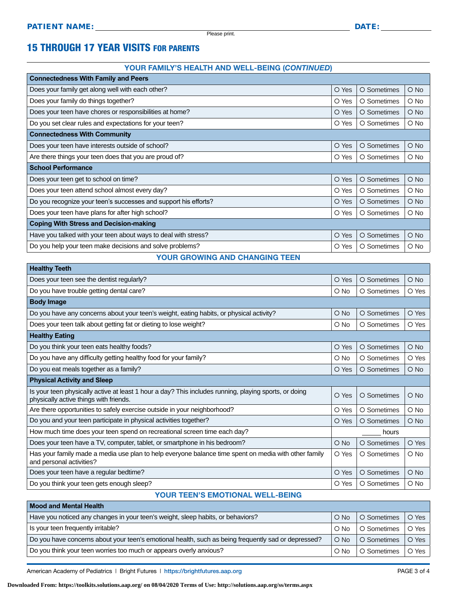**Healthy Teeth**

# 15 THROUGH 17 YEAR VISITS FOR PARENTS

#### YOUR FAMILY'S HEALTH AND WELL-BEING (*CONTINUED*)

| <b>Connectedness With Family and Peers</b>                      |       |             |               |  |  |
|-----------------------------------------------------------------|-------|-------------|---------------|--|--|
| Does your family get along well with each other?                | O Yes | O Sometimes | $\bigcirc$ No |  |  |
| Does your family do things together?                            | O Yes | O Sometimes | $O$ No        |  |  |
| Does your teen have chores or responsibilities at home?         | O Yes | O Sometimes | $\bigcirc$ No |  |  |
| Do you set clear rules and expectations for your teen?          | O Yes | O Sometimes | O No          |  |  |
| <b>Connectedness With Community</b>                             |       |             |               |  |  |
| Does your teen have interests outside of school?                | O Yes | O Sometimes | $\bigcirc$ No |  |  |
| Are there things your teen does that you are proud of?          | O Yes | O Sometimes | $\bigcirc$ No |  |  |
| <b>School Performance</b>                                       |       |             |               |  |  |
| Does your teen get to school on time?                           | O Yes | O Sometimes | O No          |  |  |
| Does your teen attend school almost every day?                  | O Yes | O Sometimes | O No          |  |  |
| Do you recognize your teen's successes and support his efforts? | O Yes | O Sometimes | $\bigcirc$ No |  |  |
| Does your teen have plans for after high school?                | O Yes | O Sometimes | $\circ$ No    |  |  |
| <b>Coping With Stress and Decision-making</b>                   |       |             |               |  |  |
| Have you talked with your teen about ways to deal with stress?  | O Yes | O Sometimes | $O$ No        |  |  |
| Do you help your teen make decisions and solve problems?        | O Yes | O Sometimes | $\circ$ No    |  |  |

#### YOUR GROWING AND CHANGING TEEN

| <b>Health</b> reefi                                                                                                                             |               |             |               |  |
|-------------------------------------------------------------------------------------------------------------------------------------------------|---------------|-------------|---------------|--|
| Does your teen see the dentist regularly?                                                                                                       | O Yes         | O Sometimes | $\bigcirc$ No |  |
| Do you have trouble getting dental care?                                                                                                        | $O$ No        | O Sometimes | O Yes         |  |
| <b>Body Image</b>                                                                                                                               |               |             |               |  |
| Do you have any concerns about your teen's weight, eating habits, or physical activity?                                                         | $\bigcirc$ No | O Sometimes | O Yes         |  |
| Does your teen talk about getting fat or dieting to lose weight?                                                                                | $O$ No        | O Sometimes | O Yes         |  |
| <b>Healthy Eating</b>                                                                                                                           |               |             |               |  |
| Do you think your teen eats healthy foods?                                                                                                      | O Yes         | O Sometimes | $O$ No        |  |
| Do you have any difficulty getting healthy food for your family?                                                                                | $\circ$ No    | O Sometimes | O Yes         |  |
| Do you eat meals together as a family?                                                                                                          | O Yes         | O Sometimes | $O$ No        |  |
| <b>Physical Activity and Sleep</b>                                                                                                              |               |             |               |  |
| Is your teen physically active at least 1 hour a day? This includes running, playing sports, or doing<br>physically active things with friends. | O Yes         | O Sometimes | $O$ No        |  |
| Are there opportunities to safely exercise outside in your neighborhood?                                                                        | O Yes         | O Sometimes | O No          |  |
| Do you and your teen participate in physical activities together?                                                                               | O Yes         | O Sometimes | $\bigcirc$ No |  |
| How much time does your teen spend on recreational screen time each day?                                                                        | hours         |             |               |  |
| Does your teen have a TV, computer, tablet, or smartphone in his bedroom?                                                                       | $\bigcirc$ No | O Sometimes | O Yes         |  |
| Has your family made a media use plan to help everyone balance time spent on media with other family<br>and personal activities?                | O Yes         | O Sometimes | $O$ No        |  |
| Does your teen have a regular bedtime?                                                                                                          | O Yes         | O Sometimes | $O$ No        |  |
| Do you think your teen gets enough sleep?                                                                                                       | O Yes         | O Sometimes | O No          |  |
|                                                                                                                                                 |               |             |               |  |

#### YOUR TEEN'S EMOTIONAL WELL-BEING

| <b>Mood and Mental Health</b>                                                                       |               |             |       |  |
|-----------------------------------------------------------------------------------------------------|---------------|-------------|-------|--|
| Have you noticed any changes in your teen's weight, sleep habits, or behaviors?                     | $\bigcirc$ No | O Sometimes | O Yes |  |
| Is your teen frequently irritable?                                                                  | $\bigcirc$ No | O Sometimes | O Yes |  |
| Do you have concerns about your teen's emotional health, such as being frequently sad or depressed? | $O$ No        | O Sometimes | O Yes |  |
| Do you think your teen worries too much or appears overly anxious?                                  | $\bigcirc$ No | O Sometimes | O Yes |  |

American Academy of Pediatrics | Bright Futures | https:/[/brightfutures.aap.org](https://brightfutures.aap.org/Pages/default.aspx) PAGE 3 of 4

**Downloaded From: https://toolkits.solutions.aap.org/ on 08/04/2020 Terms of Use: http://solutions.aap.org/ss/terms.aspx**